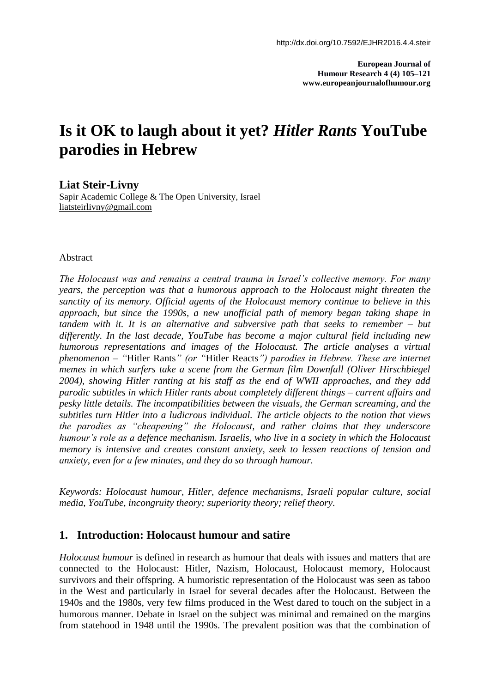**European Journal of Humour Research 4 (4) 105–121 www.europeanjournalofhumour.org**

# **Is it OK to laugh about it yet?** *Hitler Rants* **YouTube parodies in Hebrew**

**Liat Steir-Livny**

Sapir Academic College & The Open University, Israel [liatsteirlivny@gmail.com](mailto:liatsteirlivny@gmail.com)

#### Abstract

*The Holocaust was and remains a central trauma in Israel's collective memory. For many years, the perception was that a humorous approach to the Holocaust might threaten the sanctity of its memory. Official agents of the Holocaust memory continue to believe in this approach, but since the 1990s, a new unofficial path of memory began taking shape in tandem with it. It is an alternative and subversive path that seeks to remember – but differently. In the last decade, YouTube has become a major cultural field including new humorous representations and images of the Holocaust. The article analyses a virtual phenomenon – "*Hitler Rants*" (or "*Hitler Reacts*") parodies in Hebrew. These are internet memes in which surfers take a scene from the German film Downfall (Oliver Hirschbiegel 2004), showing Hitler ranting at his staff as the end of WWII approaches, and they add parodic subtitles in which Hitler rants about completely different things – current affairs and pesky little details. The incompatibilities between the visuals, the German screaming, and the subtitles turn Hitler into a ludicrous individual. The article objects to the notion that views the parodies as "cheapening" the Holocaust, and rather claims that they underscore humour's role as a defence mechanism. Israelis, who live in a society in which the Holocaust memory is intensive and creates constant anxiety, seek to lessen reactions of tension and anxiety, even for a few minutes, and they do so through humour.*

*Keywords: Holocaust humour, Hitler, defence mechanisms, Israeli popular culture, social media, YouTube, incongruity theory; superiority theory; relief theory*.

## **1. Introduction: Holocaust humour and satire**

*Holocaust humour* is defined in research as humour that deals with issues and matters that are connected to the Holocaust: Hitler, Nazism, Holocaust, Holocaust memory, Holocaust survivors and their offspring. A humoristic representation of the Holocaust was seen as taboo in the West and particularly in Israel for several decades after the Holocaust. Between the 1940s and the 1980s, very few films produced in the West dared to touch on the subject in a humorous manner. Debate in Israel on the subject was minimal and remained on the margins from statehood in 1948 until the 1990s. The prevalent position was that the combination of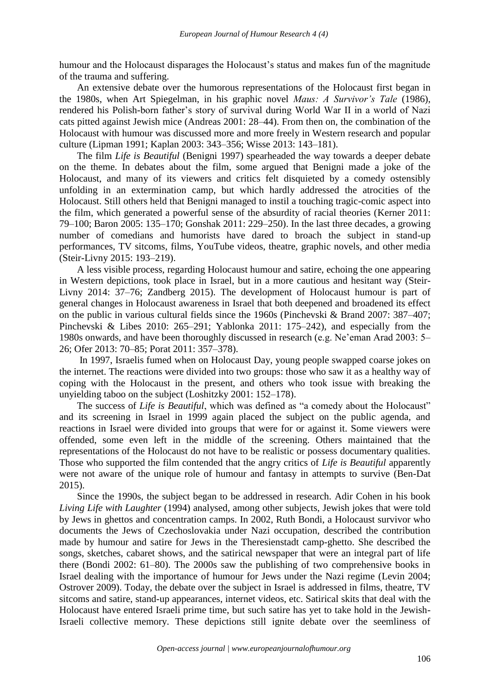humour and the Holocaust disparages the Holocaust's status and makes fun of the magnitude of the trauma and suffering.

An extensive debate over the humorous representations of the Holocaust first began in the 1980s, when Art Spiegelman, in his graphic novel *Maus: A Survivor's Tale* (1986), rendered his Polish-born father's story of survival during World War II in a world of Nazi cats pitted against Jewish mice (Andreas 2001: 28–44). From then on, the combination of the Holocaust with humour was discussed more and more freely in Western research and popular culture (Lipman 1991; Kaplan 2003: 343–356; Wisse 2013: 143–181).

The film *Life is Beautiful* (Benigni 1997) spearheaded the way towards a deeper debate on the theme. In debates about the film, some argued that Benigni made a joke of the Holocaust, and many of its viewers and critics felt disquieted by a comedy ostensibly unfolding in an extermination camp, but which hardly addressed the atrocities of the Holocaust. Still others held that Benigni managed to instil a touching tragic-comic aspect into the film, which generated a powerful sense of the absurdity of racial theories (Kerner 2011: 79–100; Baron 2005: 135–170; Gonshak 2011: 229–250). In the last three decades, a growing number of comedians and humorists have dared to broach the subject in stand-up performances, TV sitcoms, films, YouTube videos, theatre, graphic novels, and other media (Steir-Livny 2015: 193–219).

A less visible process, regarding Holocaust humour and satire, echoing the one appearing in Western depictions, took place in Israel, but in a more cautious and hesitant way (Steir-Livny 2014: 37–76; Zandberg 2015). The development of Holocaust humour is part of general changes in Holocaust awareness in Israel that both deepened and broadened its effect on the public in various cultural fields since the 1960s (Pinchevski & Brand 2007: 387–407; Pinchevski & Libes 2010: 265–291; Yablonka 2011: 175–242), and especially from the 1980s onwards, and have been thoroughly discussed in research (e.g. Ne'eman Arad 2003: 5– 26; Ofer 2013: 70–85; Porat 2011: 357–378).

In 1997, Israelis fumed when on Holocaust Day, young people swapped coarse jokes on the internet. The reactions were divided into two groups: those who saw it as a healthy way of coping with the Holocaust in the present, and others who took issue with breaking the unyielding taboo on the subject (Loshitzky 2001: 152–178).

The success of *Life is Beautiful*, which was defined as "a comedy about the Holocaust" and its screening in Israel in 1999 again placed the subject on the public agenda, and reactions in Israel were divided into groups that were for or against it. Some viewers were offended, some even left in the middle of the screening. Others maintained that the representations of the Holocaust do not have to be realistic or possess documentary qualities. Those who supported the film contended that the angry critics of *Life is Beautiful* apparently were not aware of the unique role of humour and fantasy in attempts to survive (Ben-Dat 2015).

Since the 1990s, the subject began to be addressed in research. Adir Cohen in his book *Living Life with Laughter* (1994) analysed, among other subjects, Jewish jokes that were told by Jews in ghettos and concentration camps. In 2002, Ruth Bondi, a Holocaust survivor who documents the Jews of Czechoslovakia under Nazi occupation, described the contribution made by humour and satire for Jews in the Theresienstadt camp-ghetto. She described the songs, sketches, cabaret shows, and the satirical newspaper that were an integral part of life there (Bondi 2002: 61–80). The 2000s saw the publishing of two comprehensive books in Israel dealing with the importance of humour for Jews under the Nazi regime (Levin 2004; Ostrover 2009). Today, the debate over the subject in Israel is addressed in films, theatre, TV sitcoms and satire, stand-up appearances, internet videos, etc. Satirical skits that deal with the Holocaust have entered Israeli prime time, but such satire has yet to take hold in the Jewish-Israeli collective memory. These depictions still ignite debate over the seemliness of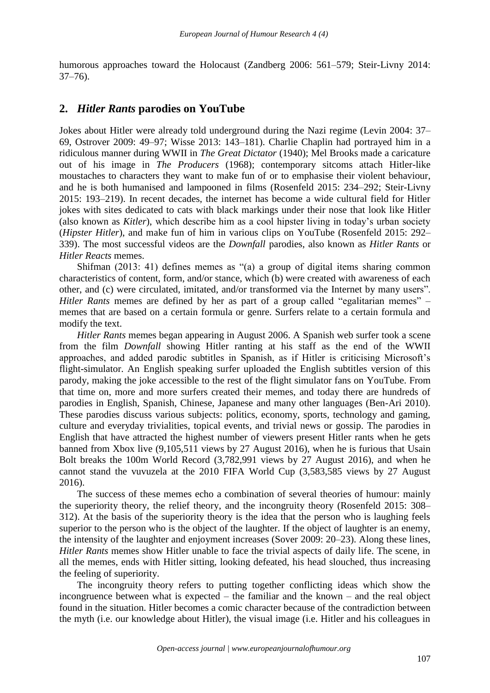humorous approaches toward the Holocaust (Zandberg 2006: 561–579; Steir-Livny 2014: 37–76).

### **2.** *Hitler Rants* **parodies on YouTube**

Jokes about Hitler were already told underground during the Nazi regime (Levin 2004: 37– 69, Ostrover 2009: 49–97; Wisse 2013: 143–181). Charlie Chaplin had portrayed him in a ridiculous manner during WWII in *The Great Dictator* (1940); Mel Brooks made a caricature out of his image in *The Producers* (1968); contemporary sitcoms attach Hitler-like moustaches to characters they want to make fun of or to emphasise their violent behaviour, and he is both humanised and lampooned in films (Rosenfeld 2015: 234–292; Steir-Livny 2015: 193–219). In recent decades, the internet has become a wide cultural field for Hitler jokes with sites dedicated to cats with black markings under their nose that look like Hitler (also known as *Kitler*), which describe him as a cool hipster living in today's urban society (*Hipster Hitler*), and make fun of him in various clips on YouTube (Rosenfeld 2015: 292– 339). The most successful videos are the *Downfall* parodies, also known as *Hitler Rants* or *Hitler Reacts* memes.

Shifman (2013: 41) defines memes as "(a) a group of digital items sharing common characteristics of content, form, and/or stance, which (b) were created with awareness of each other, and (c) were circulated, imitated, and/or transformed via the Internet by many users". *Hitler Rants* memes are defined by her as part of a group called "egalitarian memes" – memes that are based on a certain formula or genre. Surfers relate to a certain formula and modify the text.

*Hitler Rants* memes began appearing in August 2006. A Spanish web surfer took a scene from the film *Downfall* showing Hitler ranting at his staff as the end of the WWII approaches, and added parodic subtitles in Spanish, as if Hitler is criticising Microsoft's flight-simulator. An English speaking surfer uploaded the English subtitles version of this parody, making the joke accessible to the rest of the flight simulator fans on YouTube. From that time on, more and more surfers created their memes, and today there are hundreds of parodies in English, Spanish, Chinese, Japanese and many other languages (Ben-Ari 2010). These parodies discuss various subjects: politics, economy, sports, technology and gaming, culture and everyday trivialities, topical events, and trivial news or gossip. The parodies in English that have attracted the highest number of viewers present Hitler rants when he gets banned from Xbox live (9,105,511 views by 27 August 2016), when he is furious that Usain Bolt breaks the 100m World Record (3,782,991 views by 27 August 2016), and when he cannot stand the vuvuzela at the 2010 FIFA World Cup (3,583,585 views by 27 August 2016).

The success of these memes echo a combination of several theories of humour: mainly the superiority theory, the relief theory, and the incongruity theory (Rosenfeld 2015: 308– 312). At the basis of the superiority theory is the idea that the person who is laughing feels superior to the person who is the object of the laughter. If the object of laughter is an enemy, the intensity of the laughter and enjoyment increases (Sover 2009: 20–23). Along these lines, *Hitler Rants* memes show Hitler unable to face the trivial aspects of daily life. The scene, in all the memes, ends with Hitler sitting, looking defeated, his head slouched, thus increasing the feeling of superiority.

The incongruity theory refers to putting together conflicting ideas which show the incongruence between what is expected – the familiar and the known – and the real object found in the situation. Hitler becomes a comic character because of the contradiction between the myth (i.e. our knowledge about Hitler), the visual image (i.e. Hitler and his colleagues in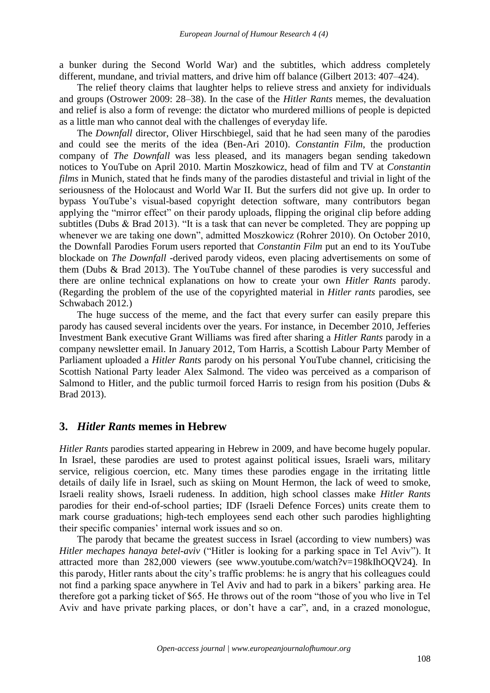a bunker during the Second World War) and the subtitles, which address completely different, mundane, and trivial matters, and drive him off balance (Gilbert 2013: 407–424).

The relief theory claims that laughter helps to relieve stress and anxiety for individuals and groups (Ostrower 2009: 28–38). In the case of the *Hitler Rants* memes, the devaluation and relief is also a form of revenge: the dictator who murdered millions of people is depicted as a little man who cannot deal with the challenges of everyday life.

The *Downfall* director, Oliver Hirschbiegel, said that he had seen many of the parodies and could see the merits of the idea (Ben-Ari 2010). *Constantin Film*, the production company of *The Downfall* was less pleased, and its managers began sending takedown notices to YouTube on April 2010. Martin Moszkowicz, head of film and TV at *Constantin films* in Munich, stated that he finds many of the parodies distasteful and trivial in light of the seriousness of the Holocaust and World War II. But the surfers did not give up. In order to bypass YouTube's visual-based copyright detection software, many contributors began applying the "mirror effect" on their parody uploads, flipping the original clip before adding subtitles (Dubs & Brad 2013). "It is a task that can never be completed. They are popping up whenever we are taking one down", admitted Moszkowicz (Rohrer 2010). On October 2010, the Downfall Parodies Forum users reported that *Constantin Film* put an end to its YouTube blockade on *The Downfall* -derived parody videos, even placing advertisements on some of them (Dubs & Brad 2013). The YouTube channel of these parodies is very successful and there are online technical explanations on how to create your own *Hitler Rants* parody. (Regarding the problem of the use of the copyrighted material in *Hitler rants* parodies, see Schwabach 2012.)

The huge success of the meme, and the fact that every surfer can easily prepare this parody has caused several incidents over the years. For instance, in December 2010, Jefferies Investment Bank executive Grant Williams was fired after sharing a *Hitler Rants* parody in a company newsletter email. In January 2012, Tom Harris, a Scottish Labour Party Member of Parliament uploaded a *Hitler Rants* parody on his personal YouTube channel, criticising the Scottish National Party leader Alex Salmond. The video was perceived as a comparison of Salmond to Hitler, and the public turmoil forced Harris to resign from his position (Dubs  $\&$ Brad 2013).

### **3.** *Hitler Rants* **memes in Hebrew**

*Hitler Rants* parodies started appearing in Hebrew in 2009, and have become hugely popular. In Israel, these parodies are used to protest against political issues, Israeli wars, military service, religious coercion, etc. Many times these parodies engage in the irritating little details of daily life in Israel, such as skiing on Mount Hermon, the lack of weed to smoke, Israeli reality shows, Israeli rudeness. In addition, high school classes make *Hitler Rants* parodies for their end-of-school parties; IDF (Israeli Defence Forces) units create them to mark course graduations; high-tech employees send each other such parodies highlighting their specific companies' internal work issues and so on.

The parody that became the greatest success in Israel (according to view numbers) was *Hitler mechapes hanaya betel-aviv* ("Hitler is looking for a parking space in Tel Aviv"). It attracted more than 282,000 viewers (see www.youtube.com/watch?v=198kIhOQV24). In this parody, Hitler rants about the city's traffic problems: he is angry that his colleagues could not find a parking space anywhere in Tel Aviv and had to park in a bikers' parking area. He therefore got a parking ticket of \$65. He throws out of the room "those of you who live in Tel Aviv and have private parking places, or don't have a car", and, in a crazed monologue,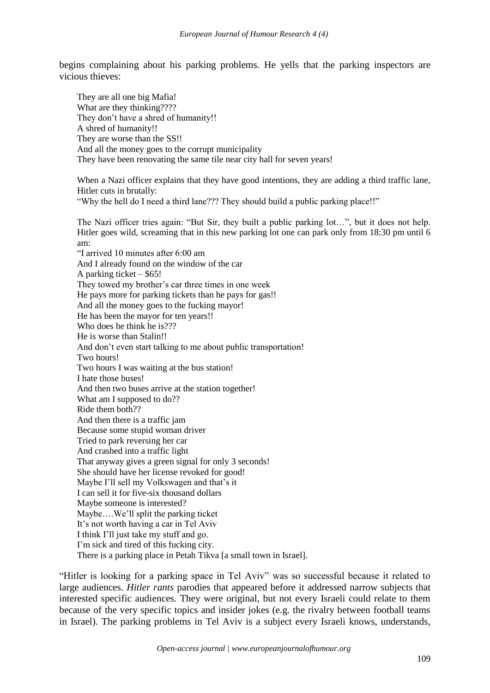begins complaining about his parking problems. He yells that the parking inspectors are vicious thieves:

They are all one big Mafia! What are they thinking???? They don't have a shred of humanity!! A shred of humanity!! They are worse than the SS!! And all the money goes to the corrupt municipality They have been renovating the same tile near city hall for seven years!

When a Nazi officer explains that they have good intentions, they are adding a third traffic lane, Hitler cuts in brutally:

"Why the hell do I need a third lane??? They should build a public parking place!!"

The Nazi officer tries again: "But Sir, they built a public parking lot…", but it does not help. Hitler goes wild, screaming that in this new parking lot one can park only from 18:30 pm until 6 am:

"I arrived 10 minutes after 6:00 am And I already found on the window of the car A parking ticket – \$65! They towed my brother's car three times in one week He pays more for parking tickets than he pays for gas!! And all the money goes to the fucking mayor! He has been the mayor for ten years!! Who does he think he is??? He is worse than Stalin!! And don't even start talking to me about public transportation! Two hours! Two hours I was waiting at the bus station! I hate those buses! And then two buses arrive at the station together! What am I supposed to do?? Ride them both?? And then there is a traffic jam Because some stupid woman driver Tried to park reversing her car And crashed into a traffic light That anyway gives a green signal for only 3 seconds! She should have her license revoked for good! Maybe I'll sell my Volkswagen and that's it I can sell it for five-six thousand dollars Maybe someone is interested? Maybe….We'll split the parking ticket It's not worth having a car in Tel Aviv I think I'll just take my stuff and go. I'm sick and tired of this fucking city. There is a parking place in Petah Tikva [a small town in Israel].

"Hitler is looking for a parking space in Tel Aviv" was so successful because it related to large audiences. *Hitler rants* parodies that appeared before it addressed narrow subjects that interested specific audiences. They were original, but not every Israeli could relate to them because of the very specific topics and insider jokes (e.g. the rivalry between football teams in Israel). The parking problems in Tel Aviv is a subject every Israeli knows, understands,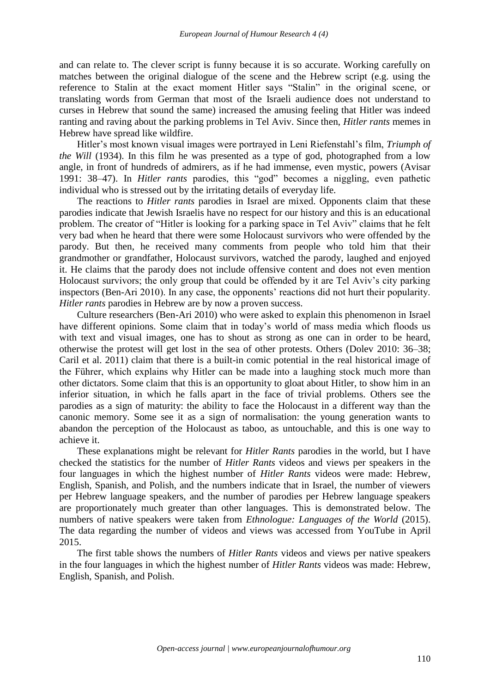and can relate to. The clever script is funny because it is so accurate. Working carefully on matches between the original dialogue of the scene and the Hebrew script (e.g. using the reference to Stalin at the exact moment Hitler says "Stalin" in the original scene, or translating words from German that most of the Israeli audience does not understand to curses in Hebrew that sound the same) increased the amusing feeling that Hitler was indeed ranting and raving about the parking problems in Tel Aviv. Since then, *Hitler rants* memes in Hebrew have spread like wildfire.

Hitler's most known visual images were portrayed in Leni Riefenstahl's film, *Triumph of the Will* (1934). In this film he was presented as a type of god, photographed from a low angle, in front of hundreds of admirers, as if he had immense, even mystic, powers (Avisar 1991: 38–47). In *Hitler rants* parodies, this "god" becomes a niggling, even pathetic individual who is stressed out by the irritating details of everyday life.

The reactions to *Hitler rants* parodies in Israel are mixed. Opponents claim that these parodies indicate that Jewish Israelis have no respect for our history and this is an educational problem. The creator of "Hitler is looking for a parking space in Tel Aviv" claims that he felt very bad when he heard that there were some Holocaust survivors who were offended by the parody. But then, he received many comments from people who told him that their grandmother or grandfather, Holocaust survivors, watched the parody, laughed and enjoyed it. He claims that the parody does not include offensive content and does not even mention Holocaust survivors; the only group that could be offended by it are Tel Aviv's city parking inspectors (Ben-Ari 2010). In any case, the opponents' reactions did not hurt their popularity. *Hitler rants* parodies in Hebrew are by now a proven success.

Culture researchers (Ben-Ari 2010) who were asked to explain this phenomenon in Israel have different opinions. Some claim that in today's world of mass media which floods us with text and visual images, one has to shout as strong as one can in order to be heard, otherwise the protest will get lost in the sea of other protests. Others (Dolev 2010: 36–38; Caril et al. 2011) claim that there is a built-in comic potential in the real historical image of the Führer, which explains why Hitler can be made into a laughing stock much more than other dictators. Some claim that this is an opportunity to gloat about Hitler, to show him in an inferior situation, in which he falls apart in the face of trivial problems. Others see the parodies as a sign of maturity: the ability to face the Holocaust in a different way than the canonic memory. Some see it as a sign of normalisation: the young generation wants to abandon the perception of the Holocaust as taboo, as untouchable, and this is one way to achieve it.

These explanations might be relevant for *Hitler Rants* parodies in the world, but I have checked the statistics for the number of *Hitler Rants* videos and views per speakers in the four languages in which the highest number of *Hitler Rants* videos were made: Hebrew, English, Spanish, and Polish, and the numbers indicate that in Israel, the number of viewers per Hebrew language speakers, and the number of parodies per Hebrew language speakers are proportionately much greater than other languages. This is demonstrated below. The numbers of native speakers were taken from *Ethnologue: Languages of the World* (2015). The data regarding the number of videos and views was accessed from YouTube in April 2015.

The first table shows the numbers of *Hitler Rants* videos and views per native speakers in the four languages in which the highest number of *Hitler Rants* videos was made: Hebrew, English, Spanish, and Polish.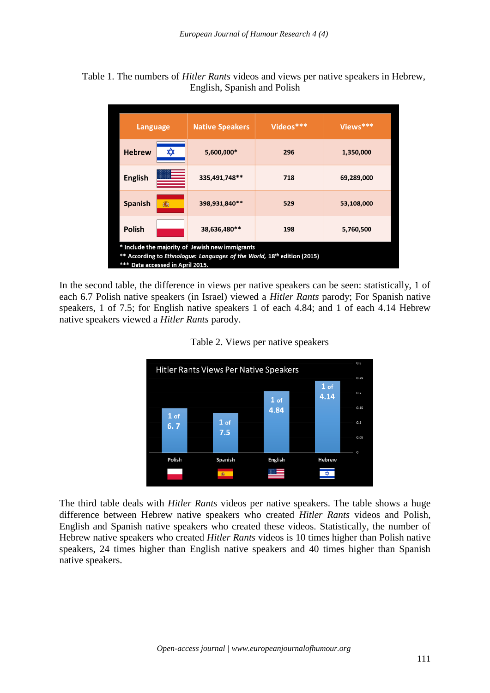### Table 1. The numbers of *Hitler Rants* videos and views per native speakers in Hebrew, English, Spanish and Polish

| Language                                                                                                                                                    | <b>Native Speakers</b> | Videos*** | Views***   |
|-------------------------------------------------------------------------------------------------------------------------------------------------------------|------------------------|-----------|------------|
| <b>Hebrew</b><br>蚊                                                                                                                                          | 5,600,000*             | 296       | 1,350,000  |
| <b>English</b>                                                                                                                                              | 335,491,748**          | 718       | 69,289,000 |
| Spanish<br>癵                                                                                                                                                | 398,931,840**          | 529       | 53,108,000 |
| Polish                                                                                                                                                      | 38,636,480**           | 198       | 5,760,500  |
| * Include the majority of Jewish new immigrants<br>According to Ethnologue: Languages of the World, 18th edition (2015)<br>*** Data accessed in April 2015. |                        |           |            |

In the second table, the difference in views per native speakers can be seen: statistically, 1 of each 6.7 Polish native speakers (in Israel) viewed a *Hitler Rants* parody; For Spanish native speakers, 1 of 7.5; for English native speakers 1 of each 4.84; and 1 of each 4.14 Hebrew native speakers viewed a *Hitler Rants* parody.



Table 2. Views per native speakers

The third table deals with *Hitler Rants* videos per native speakers. The table shows a huge difference between Hebrew native speakers who created *Hitler Rants* videos and Polish, English and Spanish native speakers who created these videos. Statistically, the number of Hebrew native speakers who created *Hitler Rants* videos is 10 times higher than Polish native speakers, 24 times higher than English native speakers and 40 times higher than Spanish native speakers.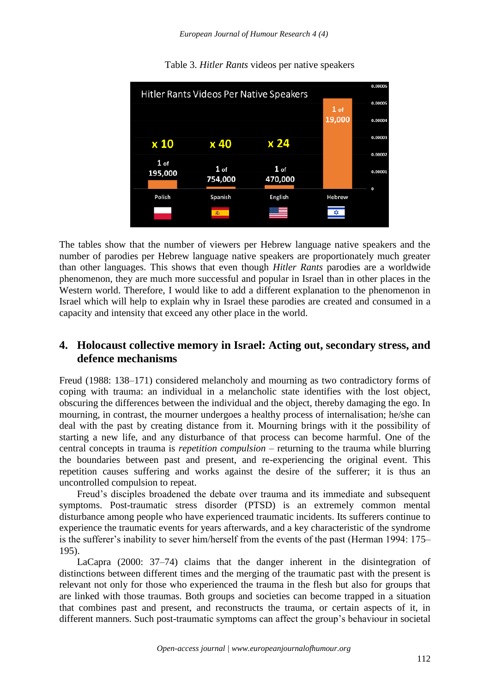

Table 3. *Hitler Rants* videos per native speakers

The tables show that the number of viewers per Hebrew language native speakers and the number of parodies per Hebrew language native speakers are proportionately much greater than other languages. This shows that even though *Hitler Rants* parodies are a worldwide phenomenon, they are much more successful and popular in Israel than in other places in the Western world. Therefore, I would like to add a different explanation to the phenomenon in Israel which will help to explain why in Israel these parodies are created and consumed in a capacity and intensity that exceed any other place in the world.

# **4. Holocaust collective memory in Israel: Acting out, secondary stress, and defence mechanisms**

Freud (1988: 138–171) considered melancholy and mourning as two contradictory forms of coping with trauma: an individual in a melancholic state identifies with the lost object, obscuring the differences between the individual and the object, thereby damaging the ego. In mourning, in contrast, the mourner undergoes a healthy process of internalisation; he/she can deal with the past by creating distance from it. Mourning brings with it the possibility of starting a new life, and any disturbance of that process can become harmful. One of the central concepts in trauma is *repetition compulsion* – returning to the trauma while blurring the boundaries between past and present, and re-experiencing the original event. This repetition causes suffering and works against the desire of the sufferer; it is thus an uncontrolled compulsion to repeat.

Freud's disciples broadened the debate over trauma and its immediate and subsequent symptoms. Post-traumatic stress disorder (PTSD) is an extremely common mental disturbance among people who have experienced traumatic incidents. Its sufferers continue to experience the traumatic events for years afterwards, and a key characteristic of the syndrome is the sufferer's inability to sever him/herself from the events of the past (Herman 1994: 175– 195).

LaCapra (2000: 37–74) claims that the danger inherent in the disintegration of distinctions between different times and the merging of the traumatic past with the present is relevant not only for those who experienced the trauma in the flesh but also for groups that are linked with those traumas. Both groups and societies can become trapped in a situation that combines past and present, and reconstructs the trauma, or certain aspects of it, in different manners. Such post-traumatic symptoms can affect the group's behaviour in societal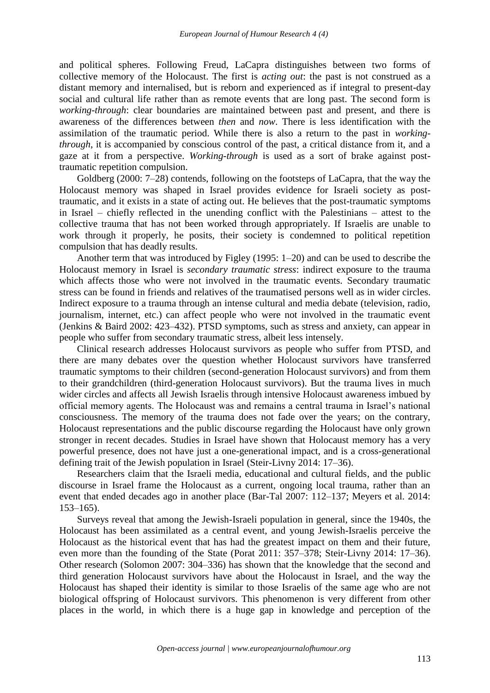and political spheres. Following Freud, LaCapra distinguishes between two forms of collective memory of the Holocaust. The first is *acting out*: the past is not construed as a distant memory and internalised, but is reborn and experienced as if integral to present-day social and cultural life rather than as remote events that are long past. The second form is *working-through*: clear boundaries are maintained between past and present, and there is awareness of the differences between *then* and *now*. There is less identification with the assimilation of the traumatic period. While there is also a return to the past in *workingthrough*, it is accompanied by conscious control of the past, a critical distance from it, and a gaze at it from a perspective. *Working-through* is used as a sort of brake against posttraumatic repetition compulsion.

Goldberg (2000: 7–28) contends, following on the footsteps of LaCapra, that the way the Holocaust memory was shaped in Israel provides evidence for Israeli society as posttraumatic, and it exists in a state of acting out. He believes that the post-traumatic symptoms in Israel – chiefly reflected in the unending conflict with the Palestinians – attest to the collective trauma that has not been worked through appropriately. If Israelis are unable to work through it properly, he posits, their society is condemned to political repetition compulsion that has deadly results.

Another term that was introduced by Figley (1995: 1–20) and can be used to describe the Holocaust memory in Israel is *secondary traumatic stress*: indirect exposure to the trauma which affects those who were not involved in the traumatic events. Secondary traumatic stress can be found in friends and relatives of the traumatised persons well as in wider circles. Indirect exposure to a trauma through an intense cultural and media debate (television, radio, journalism, internet, etc.) can affect people who were not involved in the traumatic event (Jenkins & Baird 2002: 423–432). PTSD symptoms, such as stress and anxiety, can appear in people who suffer from secondary traumatic stress, albeit less intensely.

Clinical research addresses Holocaust survivors as people who suffer from PTSD, and there are many debates over the question whether Holocaust survivors have transferred traumatic symptoms to their children (second-generation Holocaust survivors) and from them to their grandchildren (third-generation Holocaust survivors). But the trauma lives in much wider circles and affects all Jewish Israelis through intensive Holocaust awareness imbued by official memory agents. The Holocaust was and remains a central trauma in Israel's national consciousness. The memory of the trauma does not fade over the years; on the contrary, Holocaust representations and the public discourse regarding the Holocaust have only grown stronger in recent decades. Studies in Israel have shown that Holocaust memory has a very powerful presence, does not have just a one-generational impact, and is a cross-generational defining trait of the Jewish population in Israel (Steir-Livny 2014: 17–36).

Researchers claim that the Israeli media, educational and cultural fields, and the public discourse in Israel frame the Holocaust as a current, ongoing local trauma, rather than an event that ended decades ago in another place (Bar-Tal 2007: 112–137; Meyers et al. 2014: 153–165).

Surveys reveal that among the Jewish-Israeli population in general, since the 1940s, the Holocaust has been assimilated as a central event, and young Jewish-Israelis perceive the Holocaust as the historical event that has had the greatest impact on them and their future, even more than the founding of the State (Porat 2011: 357–378; Steir-Livny 2014: 17–36). Other research (Solomon 2007: 304–336) has shown that the knowledge that the second and third generation Holocaust survivors have about the Holocaust in Israel, and the way the Holocaust has shaped their identity is similar to those Israelis of the same age who are not biological offspring of Holocaust survivors. This phenomenon is very different from other places in the world, in which there is a huge gap in knowledge and perception of the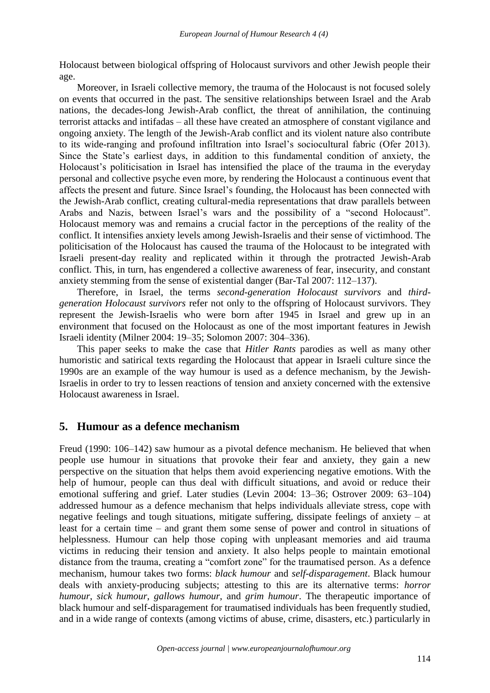Holocaust between biological offspring of Holocaust survivors and other Jewish people their age.

Moreover, in Israeli collective memory, the trauma of the Holocaust is not focused solely on events that occurred in the past. The sensitive relationships between Israel and the Arab nations, the decades-long Jewish-Arab conflict, the threat of annihilation, the continuing terrorist attacks and intifadas – all these have created an atmosphere of constant vigilance and ongoing anxiety. The length of the Jewish-Arab conflict and its violent nature also contribute to its wide-ranging and profound infiltration into Israel's sociocultural fabric (Ofer 2013). Since the State's earliest days, in addition to this fundamental condition of anxiety, the Holocaust's politicisation in Israel has intensified the place of the trauma in the everyday personal and collective psyche even more, by rendering the Holocaust a continuous event that affects the present and future. Since Israel's founding, the Holocaust has been connected with the Jewish-Arab conflict, creating cultural-media representations that draw parallels between Arabs and Nazis, between Israel's wars and the possibility of a "second Holocaust". Holocaust memory was and remains a crucial factor in the perceptions of the reality of the conflict. It intensifies anxiety levels among Jewish-Israelis and their sense of victimhood. The politicisation of the Holocaust has caused the trauma of the Holocaust to be integrated with Israeli present-day reality and replicated within it through the protracted Jewish-Arab conflict. This, in turn, has engendered a collective awareness of fear, insecurity, and constant anxiety stemming from the sense of existential danger (Bar-Tal 2007: 112–137).

Therefore, in Israel, the terms *second-generation Holocaust survivors* and *thirdgeneration Holocaust survivors* refer not only to the offspring of Holocaust survivors. They represent the Jewish-Israelis who were born after 1945 in Israel and grew up in an environment that focused on the Holocaust as one of the most important features in Jewish Israeli identity (Milner 2004: 19–35; Solomon 2007: 304–336).

This paper seeks to make the case that *Hitler Rants* parodies as well as many other humoristic and satirical texts regarding the Holocaust that appear in Israeli culture since the 1990s are an example of the way humour is used as a defence mechanism, by the Jewish-Israelis in order to try to lessen reactions of tension and anxiety concerned with the extensive Holocaust awareness in Israel.

### **5. Humour as a defence mechanism**

Freud (1990: 106–142) saw humour as a pivotal defence mechanism. He believed that when people use humour in situations that provoke their fear and anxiety, they gain a new perspective on the situation that helps them avoid experiencing negative emotions. With the help of humour, people can thus deal with difficult situations, and avoid or reduce their emotional suffering and grief. Later studies (Levin 2004: 13–36; Ostrover 2009: 63–104) addressed humour as a defence mechanism that helps individuals alleviate stress, cope with negative feelings and tough situations, mitigate suffering, dissipate feelings of anxiety – at least for a certain time – and grant them some sense of power and control in situations of helplessness. Humour can help those coping with unpleasant memories and aid trauma victims in reducing their tension and anxiety. It also helps people to maintain emotional distance from the trauma, creating a "comfort zone" for the traumatised person. As a defence mechanism, humour takes two forms: *black humour* and *self-disparagement*. Black humour deals with anxiety-producing subjects; attesting to this are its alternative terms: *horror humour*, *sick humour*, *gallows humour*, and *grim humour*. The therapeutic importance of black humour and self-disparagement for traumatised individuals has been frequently studied, and in a wide range of contexts (among victims of abuse, crime, disasters, etc.) particularly in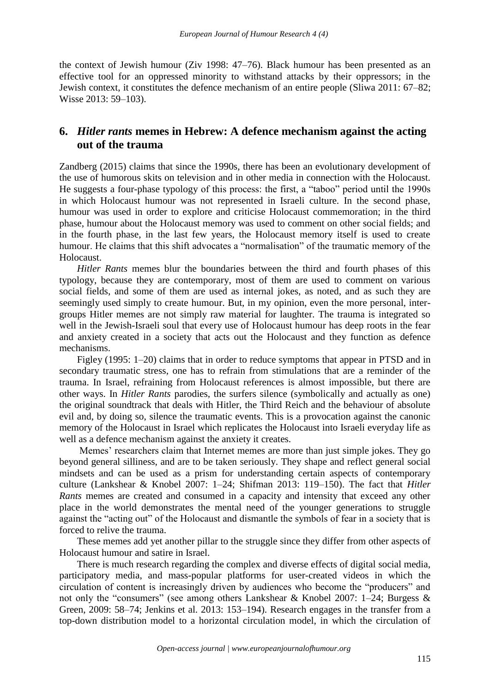the context of Jewish humour (Ziv 1998: 47–76). Black humour has been presented as an effective tool for an oppressed minority to withstand attacks by their oppressors; in the Jewish context, it constitutes the defence mechanism of an entire people (Sliwa 2011: 67–82; Wisse 2013: 59–103).

# **6.** *Hitler rants* **memes in Hebrew: A defence mechanism against the acting out of the trauma**

Zandberg (2015) claims that since the 1990s, there has been an evolutionary development of the use of humorous skits on television and in other media in connection with the Holocaust. He suggests a four-phase typology of this process: the first, a "taboo" period until the 1990s in which Holocaust humour was not represented in Israeli culture. In the second phase, humour was used in order to explore and criticise Holocaust commemoration; in the third phase, humour about the Holocaust memory was used to comment on other social fields; and in the fourth phase, in the last few years, the Holocaust memory itself is used to create humour. He claims that this shift advocates a "normalisation" of the traumatic memory of the **Holocaust** 

*Hitler Rants* memes blur the boundaries between the third and fourth phases of this typology, because they are contemporary, most of them are used to comment on various social fields, and some of them are used as internal jokes, as noted, and as such they are seemingly used simply to create humour. But, in my opinion, even the more personal, intergroups Hitler memes are not simply raw material for laughter. The trauma is integrated so well in the Jewish-Israeli soul that every use of Holocaust humour has deep roots in the fear and anxiety created in a society that acts out the Holocaust and they function as defence mechanisms.

Figley (1995: 1–20) claims that in order to reduce symptoms that appear in PTSD and in secondary traumatic stress, one has to refrain from stimulations that are a reminder of the trauma. In Israel, refraining from Holocaust references is almost impossible, but there are other ways. In *Hitler Rants* parodies, the surfers silence (symbolically and actually as one) the original soundtrack that deals with Hitler, the Third Reich and the behaviour of absolute evil and, by doing so, silence the traumatic events. This is a provocation against the canonic memory of the Holocaust in Israel which replicates the Holocaust into Israeli everyday life as well as a defence mechanism against the anxiety it creates.

Memes' researchers claim that Internet memes are more than just simple jokes. They go beyond general silliness, and are to be taken seriously. They shape and reflect general social mindsets and can be used as a prism for understanding certain aspects of contemporary culture (Lankshear & Knobel 2007: 1–24; Shifman 2013: 119–150). The fact that *Hitler Rants* memes are created and consumed in a capacity and intensity that exceed any other place in the world demonstrates the mental need of the younger generations to struggle against the "acting out" of the Holocaust and dismantle the symbols of fear in a society that is forced to relive the trauma.

These memes add yet another pillar to the struggle since they differ from other aspects of Holocaust humour and satire in Israel.

There is much research regarding the complex and diverse effects of digital social media, participatory media, and mass-popular platforms for user-created videos in which the circulation of content is increasingly driven by audiences who become the "producers" and not only the "consumers" (see among others Lankshear & Knobel 2007: 1–24; Burgess & Green, 2009: 58–74; Jenkins et al. 2013: 153–194). Research engages in the transfer from a top-down distribution model to a horizontal circulation model, in which the circulation of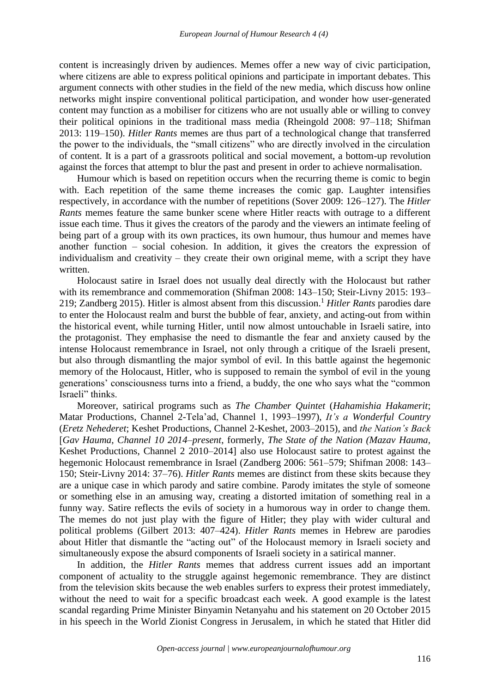content is increasingly driven by audiences. Memes offer a new way of civic participation, where citizens are able to express political opinions and participate in important debates. This argument connects with other studies in the field of the new media, which discuss how online networks might inspire conventional political participation, and wonder how user-generated content may function as a mobiliser for citizens who are not usually able or willing to convey their political opinions in the traditional mass media (Rheingold 2008: 97–118; Shifman 2013: 119–150). *Hitler Rants* memes are thus part of a technological change that transferred the power to the individuals, the "small citizens" who are directly involved in the circulation of content. It is a part of a grassroots political and social movement, a bottom-up revolution against the forces that attempt to blur the past and present in order to achieve normalisation.

Humour which is based on repetition occurs when the recurring theme is comic to begin with. Each repetition of the same theme increases the comic gap. Laughter intensifies respectively, in accordance with the number of repetitions (Sover 2009: 126–127). The *Hitler Rants* memes feature the same bunker scene where Hitler reacts with outrage to a different issue each time. Thus it gives the creators of the parody and the viewers an intimate feeling of being part of a group with its own practices, its own humour, thus humour and memes have another function – social cohesion. In addition, it gives the creators the expression of individualism and creativity – they create their own original meme, with a script they have written.

Holocaust satire in Israel does not usually deal directly with the Holocaust but rather with its remembrance and commemoration (Shifman 2008: 143–150; Steir-Livny 2015: 193– 219; Zandberg 2015). Hitler is almost absent from this discussion. <sup>1</sup> *Hitler Rants* parodies dare to enter the Holocaust realm and burst the bubble of fear, anxiety, and acting-out from within the historical event, while turning Hitler, until now almost untouchable in Israeli satire, into the protagonist. They emphasise the need to dismantle the fear and anxiety caused by the intense Holocaust remembrance in Israel, not only through a critique of the Israeli present, but also through dismantling the major symbol of evil. In this battle against the hegemonic memory of the Holocaust, Hitler, who is supposed to remain the symbol of evil in the young generations' consciousness turns into a friend, a buddy, the one who says what the "common Israeli" thinks.

Moreover, satirical programs such as *The Chamber Quintet* (*Hahamishia Hakamerit*; Matar Productions, Channel 2-Tela'ad, Channel 1, 1993–1997), *It's a Wonderful Country* (*Eretz Nehederet*; Keshet Productions, Channel 2-Keshet, 2003–2015), and *the Nation's Back* ]*Gav Hauma, Channel 10 2014*–*present*, formerly, *The State of the Nation (Mazav Hauma,*  Keshet Productions, Channel 2 2010–2014] also use Holocaust satire to protest against the hegemonic Holocaust remembrance in Israel (Zandberg 2006: 561–579; Shifman 2008: 143– 150; Steir-Livny 2014: 37–76). *Hitler Rants* memes are distinct from these skits because they are a unique case in which parody and satire combine. Parody imitates the style of someone or something else in an amusing way, creating a distorted imitation of something real in a funny way. Satire reflects the evils of society in a humorous way in order to change them. The memes do not just play with the figure of Hitler; they play with wider cultural and political problems (Gilbert 2013: 407–424). *Hitler Rants* memes in Hebrew are parodies about Hitler that dismantle the "acting out" of the Holocaust memory in Israeli society and simultaneously expose the absurd components of Israeli society in a satirical manner.

In addition, the *Hitler Rants* memes that address current issues add an important component of actuality to the struggle against hegemonic remembrance. They are distinct from the television skits because the web enables surfers to express their protest immediately, without the need to wait for a specific broadcast each week. A good example is the latest scandal regarding Prime Minister Binyamin Netanyahu and his statement on 20 October 2015 in his speech in the World Zionist Congress in Jerusalem, in which he stated that Hitler did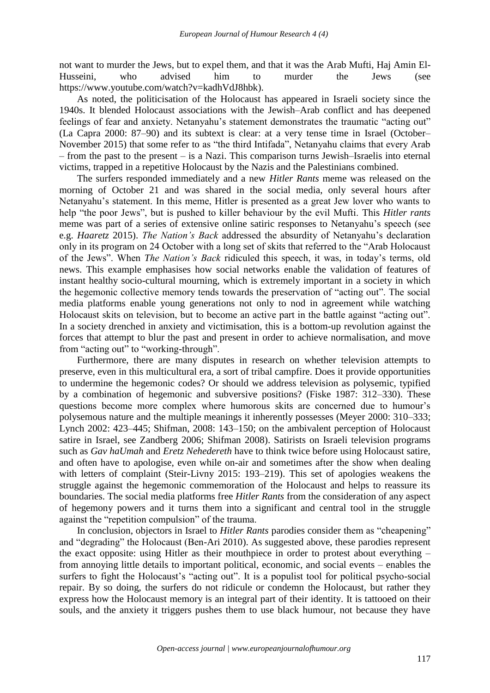not want to murder the Jews, but to expel them, and that it was the Arab Mufti, Haj Amin El-Husseini, who advised him to murder the Jews (see https://www.youtube.com/watch?v=kadhVdJ8hbk).

As noted, the politicisation of the Holocaust has appeared in Israeli society since the 1940s. It blended Holocaust associations with the Jewish–Arab conflict and has deepened feelings of fear and anxiety. Netanyahu's statement demonstrates the traumatic "acting out" (La Capra 2000: 87–90) and its subtext is clear: at a very tense time in Israel (October– November 2015) that some refer to as "the third Intifada", Netanyahu claims that every Arab – from the past to the present – is a Nazi. This comparison turns Jewish–Israelis into eternal victims, trapped in a repetitive Holocaust by the Nazis and the Palestinians combined.

The surfers responded immediately and a new *Hitler Rants* meme was released on the morning of October 21 and was shared in the social media, only several hours after Netanyahu's statement. In this meme, Hitler is presented as a great Jew lover who wants to help "the poor Jews", but is pushed to killer behaviour by the evil Mufti. This *Hitler rants* meme was part of a series of extensive online satiric responses to Netanyahu's speech (see e.g. *Haaretz* 2015). *The Nation's Back* addressed the absurdity of Netanyahu's declaration only in its program on 24 October with a long set of skits that referred to the "Arab Holocaust of the Jews". When *The Nation's Back* ridiculed this speech, it was, in today's terms, old news. This example emphasises how social networks enable the validation of features of instant healthy socio-cultural mourning, which is extremely important in a society in which the hegemonic collective memory tends towards the preservation of "acting out". The social media platforms enable young generations not only to nod in agreement while watching Holocaust skits on television, but to become an active part in the battle against "acting out". In a society drenched in anxiety and victimisation, this is a bottom-up revolution against the forces that attempt to blur the past and present in order to achieve normalisation, and move from "acting out" to "working-through".

Furthermore, there are many disputes in research on whether television attempts to preserve, even in this multicultural era, a sort of tribal campfire. Does it provide opportunities to undermine the hegemonic codes? Or should we address television as polysemic, typified by a combination of hegemonic and subversive positions? (Fiske 1987: 312–330). These questions become more complex where humorous skits are concerned due to humour's polysemous nature and the multiple meanings it inherently possesses (Meyer 2000: 310–333; Lynch 2002: 423–445; Shifman, 2008: 143–150; on the ambivalent perception of Holocaust satire in Israel, see Zandberg 2006; Shifman 2008). Satirists on Israeli television programs such as *Gav haUmah* and *Eretz Nehedereth* have to think twice before using Holocaust satire, and often have to apologise, even while on-air and sometimes after the show when dealing with letters of complaint (Steir-Livny 2015: 193–219). This set of apologies weakens the struggle against the hegemonic commemoration of the Holocaust and helps to reassure its boundaries. The social media platforms free *Hitler Rants* from the consideration of any aspect of hegemony powers and it turns them into a significant and central tool in the struggle against the "repetition compulsion" of the trauma.

In conclusion, objectors in Israel to *Hitler Rants* parodies consider them as "cheapening" and "degrading" the Holocaust (Ben-Ari 2010). As suggested above, these parodies represent the exact opposite: using Hitler as their mouthpiece in order to protest about everything – from annoying little details to important political, economic, and social events – enables the surfers to fight the Holocaust's "acting out". It is a populist tool for political psycho-social repair. By so doing, the surfers do not ridicule or condemn the Holocaust, but rather they express how the Holocaust memory is an integral part of their identity. It is tattooed on their souls, and the anxiety it triggers pushes them to use black humour, not because they have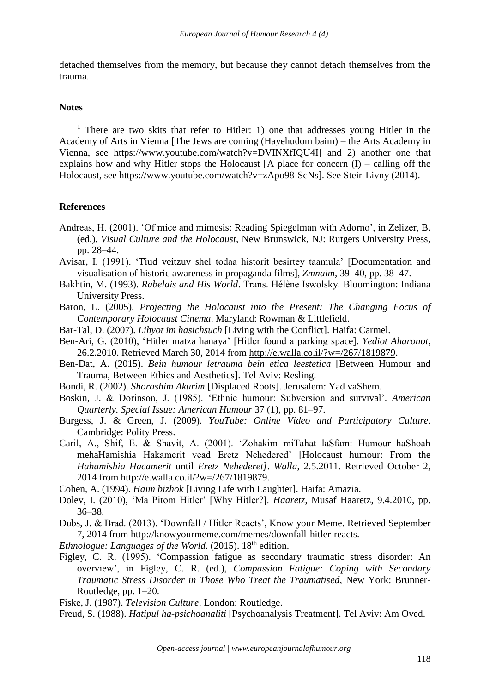detached themselves from the memory, but because they cannot detach themselves from the trauma.

### **Notes**

<sup>1</sup> There are two skits that refer to Hitler: 1) one that addresses young Hitler in the Academy of Arts in Vienna [The Jews are coming (Hayehudom baim) – the Arts Academy in Vienna, see https://www.youtube.com/watch?v=DVINXfIQU4I] and 2) another one that explains how and why Hitler stops the Holocaust  $[A]$  place for concern  $(I)$  – calling off the Holocaust, see https://www.youtube.com/watch?v=zApo98-ScNs]. See Steir-Livny (2014).

#### **References**

- Andreas, H. (2001). 'Of mice and mimesis: Reading Spiegelman with Adorno', in Zelizer, B. (ed.), *Visual Culture and the Holocaust,* New Brunswick, NJ: Rutgers University Press, pp. 28–44.
- Avisar, I. (1991). 'Tiud veitzuv shel todaa historit besirtey taamula' [Documentation and visualisation of historic awareness in propaganda films], *Zmnaim*, 39–40, pp. 38–47.
- Bakhtin, M. (1993). *Rabelais and His World*. Trans. Hélène Iswolsky. Bloomington: Indiana University Press.
- Baron, L. (2005). *Projecting the Holocaust into the Present: The Changing Focus of Contemporary Holocaust Cinema*. Maryland: Rowman & Littlefield.
- Bar-Tal, D. (2007). *Lihyot im hasichsuch* [Living with the Conflict]. Haifa: Carmel.
- Ben-Ari, G. (2010), 'Hitler matza hanaya' [Hitler found a parking space]. *Yediot Aharonot*, 26.2.2010. Retrieved March 30, 2014 from http://e.walla.co.il/?w=/267/1819879.
- Ben-Dat, A. (2015). *Bein humour letrauma bein etica leestetica* [Between Humour and Trauma, Between Ethics and Aesthetics]. Tel Aviv: Resling.
- Bondi, R. (2002). *Shorashim Akurim* [Displaced Roots]. Jerusalem: Yad vaShem.
- Boskin, J. & Dorinson, J. (1985). 'Ethnic humour: Subversion and survival'. *American Quarterly. Special Issue: American Humour* 37 (1), pp. 81–97.
- Burgess, J. & Green, J. (2009). *YouTube: Online Video and Participatory Culture*. Cambridge: Polity Press.
- Caril, A., Shif, E. & Shavit, A. (2001). 'Zohakim miTahat laSfam: Humour haShoah mehaHamishia Hakamerit vead Eretz Nehedered' [Holocaust humour: From the *Hahamishia Hacamerit* until *Eretz Nehederet]*. *Walla*, 2.5.2011. Retrieved October 2, 2014 from http://e.walla.co.il/?w=/267/1819879.
- Cohen, A. (1994). *Haim bizhok* [Living Life with Laughter]. Haifa: Amazia.
- Dolev, I. (2010), 'Ma Pitom Hitler' [Why Hitler?]. *Haaretz*, Musaf Haaretz, 9.4.2010, pp. 36–38.
- Dubs, J. & Brad. (2013). 'Downfall / Hitler Reacts', Know your Meme. Retrieved September 7, 2014 from http://knowyourmeme.com/memes/downfall-hitler-reacts.

*Ethnologue: Languages of the World.* (2015). 18<sup>th</sup> edition.

Figley, C. R. (1995). 'Compassion fatigue as secondary traumatic stress disorder: An overview', in Figley, C. R. (ed.), *Compassion Fatigue: Coping with Secondary Traumatic Stress Disorder in Those Who Treat the Traumatised*, New York: Brunner-Routledge, pp. 1–20.

Fiske, J. (1987). *Television Culture*. London: Routledge.

Freud, S. (1988). *Hatipul ha-psichoanaliti* [Psychoanalysis Treatment]. Tel Aviv: Am Oved.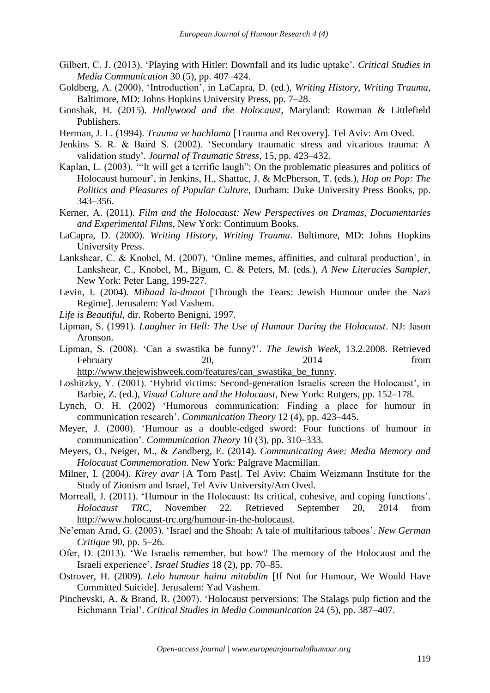- Gilbert, C. J. (2013). 'Playing with Hitler: Downfall and its ludic uptake'. *Critical Studies in Media Communication* 30 (5), pp. 407–424.
- Goldberg, A. (2000), 'Introduction', in LaCapra, D. (ed.), *Writing History, Writing Trauma*, Baltimore, MD: Johns Hopkins University Press, pp. 7–28.
- Gonshak, H. (2015). *Hollywood and the Holocaust*, Maryland: Rowman & Littlefield Publishers.
- Herman, J. L. (1994). *Trauma ve hachlama* [Trauma and Recovery]. Tel Aviv: Am Oved.
- Jenkins S. R. & Baird S. (2002). 'Secondary traumatic stress and vicarious trauma: A validation study'. *Journal of Traumatic Stress*, 15, pp. 423–432.
- Kaplan, L. (2003). '"It will get a terrific laugh": On the problematic pleasures and politics of Holocaust humour', in Jenkins, H., Shattuc, J. & McPherson, T. (eds.), *Hop on Pop: The Politics and Pleasures of Popular Culture*, Durham: Duke University Press Books, pp. 343–356.
- Kerner, A. (2011). *Film and the Holocaust: New Perspectives on Dramas, Documentaries and Experimental Films*, New York: Continuum Books.
- LaCapra, D. (2000). *Writing History, Writing Trauma*. Baltimore, MD: Johns Hopkins University Press.
- Lankshear, C. & Knobel, M. (2007). 'Online memes, affinities, and cultural production', in Lankshear, C., Knobel, M., Bigum, C. & Peters, M. (eds.), *A New Literacies Sampler*, New York: Peter Lang, 199-227.
- Levin, I. (2004). *Mibaad la-dmaot* [Through the Tears: Jewish Humour under the Nazi Regime]. Jerusalem: Yad Vashem.
- *Life is Beautiful*, dir. Roberto Benigni, 1997.
- Lipman, S. (1991). *Laughter in Hell: The Use of Humour During the Holocaust*. NJ: Jason Aronson.
- Lipman, S. (2008). 'Can a swastika be funny?'. *The Jewish Week*, 13.2.2008. Retrieved February 20, 2014 from

http://www.thejewishweek.com/features/can\_swastika\_be\_funny.

- Loshitzky, Y. (2001). 'Hybrid victims: Second-generation Israelis screen the Holocaust', in Barbie, Z. (ed.), *Visual Culture and the Holocaust*, New York: Rutgers, pp. 152–178.
- Lynch, O. H. (2002) 'Humorous communication: Finding a place for humour in communication research'. *Communication Theory* 12 (4), pp. 423–445.
- Meyer, J. (2000). 'Humour as a double-edged sword: Four functions of humour in communication'. *Communication Theory* 10 (3), pp. 310–333.
- Meyers, O., Neiger, M., & Zandberg, E. (2014). *Communicating Awe: Media Memory and Holocaust Commemoration*. New York: Palgrave Macmillan.
- Milner, I. (2004). *Kirey avar* [A Torn Past]. Tel Aviv: Chaim Weizmann Institute for the Study of Zionism and Israel, Tel Aviv University/Am Oved.
- Morreall, J. (2011). 'Humour in the Holocaust: Its critical, cohesive, and coping functions'. *Holocaust TRC*, November 22. Retrieved September 20, 2014 from http://www.holocaust-trc.org/humour-in-the-holocaust.
- Ne'eman Arad, G. (2003). 'Israel and the Shoah: A tale of multifarious taboos'. *New German Critique* 90, pp. 5–26.
- Ofer, D. (2013). 'We Israelis remember, but how? The memory of the Holocaust and the Israeli experience'. *Israel Studies* 18 (2), pp. 70–85.
- Ostrover, H. (2009). *Lelo humour hainu mitabdim* [If Not for Humour, We Would Have Committed Suicide]. Jerusalem: Yad Vashem.
- Pinchevski, A. & Brand, R. (2007). 'Holocaust perversions: The Stalags pulp fiction and the Eichmann Trial'. *Critical Studies in Media Communication* 24 (5), pp. 387–407.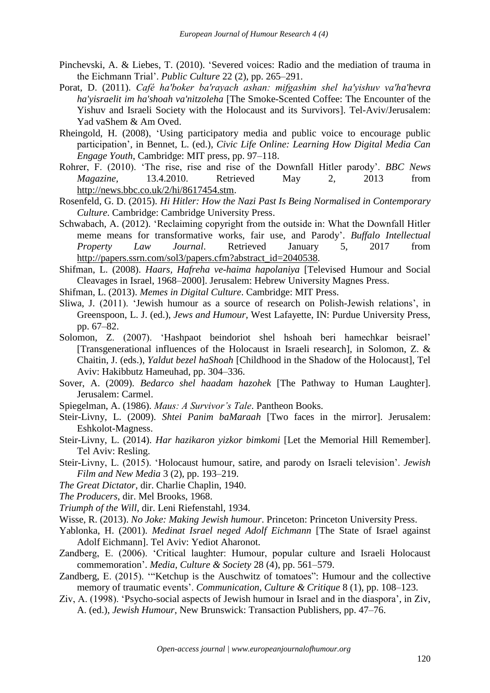- Pinchevski, A. & Liebes, T. (2010). 'Severed voices: Radio and the mediation of trauma in the Eichmann Trial'. *Public Culture* 22 (2), pp. 265–291.
- Porat, D. (2011). *Café ha'boker ba'rayach ashan: mifgashim shel ha'yishuv va'ha'hevra ha'yisraelit im ha'shoah va'nitzoleha* [The Smoke-Scented Coffee: The Encounter of the Yishuv and Israeli Society with the Holocaust and its Survivors]. Tel-Aviv/Jerusalem: Yad vaShem & Am Oved.
- Rheingold, H. (2008), 'Using participatory media and public voice to encourage public participation', in Bennet, L. (ed.), *Civic Life Online: Learning How Digital Media Can Engage Youth*, Cambridge: MIT press, pp. 97–118.
- Rohrer, F. (2010). 'The rise, rise and rise of the Downfall Hitler parody'. *BBC News Magazine,* 13.4.2010. Retrieved May 2, 2013 from http://news.bbc.co.uk/2/hi/8617454.stm.
- Rosenfeld, G. D. (2015). *Hi Hitler: How the Nazi Past Is Being Normalised in Contemporary Culture*. Cambridge: Cambridge University Press.
- Schwabach, A. (2012). 'Reclaiming copyright from the outside in: What the Downfall Hitler meme means for transformative works, fair use, and Parody'. *Buffalo Intellectual Property Law Journal*. Retrieved January 5, 2017 from http://papers.ssrn.com/sol3/papers.cfm?abstract\_id=2040538.
- Shifman, L. (2008). *Haars, Hafreha ve-haima hapolaniya* [Televised Humour and Social Cleavages in Israel, 1968–2000]. Jerusalem: Hebrew University Magnes Press.
- Shifman, L. (2013). *Memes in Digital Culture*. Cambridge: MIT Press.
- Sliwa, J. (2011). 'Jewish humour as a source of research on Polish-Jewish relations', in Greenspoon, L. J. (ed.), *Jews and Humour,* West Lafayette, IN: Purdue University Press, pp. 67–82.
- Solomon, Z. (2007). 'Hashpaot beindoriot shel hshoah beri hamechkar beisrael' [Transgenerational influences of the Holocaust in Israeli research], in Solomon, Z. & Chaitin, J. (eds.), *Yaldut bezel haShoah* [Childhood in the Shadow of the Holocaust], Tel Aviv: Hakibbutz Hameuhad, pp. 304–336.
- Sover, A. (2009). *Bedarco shel haadam hazohek* [The Pathway to Human Laughter]. Jerusalem: Carmel.
- Spiegelman, A. (1986). *Maus: A Survivor's Tale*. Pantheon Books.
- Steir-Livny, L. (2009). *Shtei Panim baMaraah* [Two faces in the mirror]. Jerusalem: Eshkolot-Magness.
- Steir-Livny, L. (2014). *Har hazikaron yizkor bimkomi* [Let the Memorial Hill Remember]. Tel Aviv: Resling.
- Steir-Livny, L. (2015). 'Holocaust humour, satire, and parody on Israeli television'. *Jewish Film and New Media* 3 (2), pp. 193–219.
- *The Great Dictator*, dir. Charlie Chaplin, 1940.
- *The Producers*, dir. Mel Brooks, 1968.
- *Triumph of the Will*, dir. Leni Riefenstahl*,* 1934.
- Wisse, R. (2013). *No Joke: Making Jewish humour*. Princeton: Princeton University Press.
- Yablonka, H. (2001). *Medinat Israel neged Adolf Eichmann* [The State of Israel against Adolf Eichmann]. Tel Aviv: Yediot Aharonot.
- Zandberg, E. (2006). 'Critical laughter: Humour, popular culture and Israeli Holocaust commemoration'. *Media, Culture & Society* 28 (4), pp. 561–579.
- Zandberg, E. (2015). '"Ketchup is the Auschwitz of tomatoes": Humour and the collective memory of traumatic events'. *Communication, Culture & Critique* 8 (1), pp. 108–123.
- Ziv, A. (1998). 'Psycho-social aspects of Jewish humour in Israel and in the diaspora', in Ziv, A. (ed.), *Jewish Humour*, New Brunswick: Transaction Publishers, pp. 47–76.